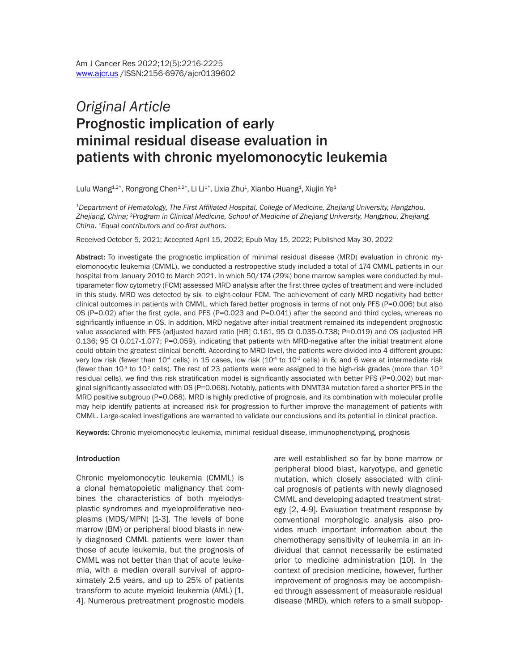# *Original Article* Prognostic implication of early minimal residual disease evaluation in patients with chronic myelomonocytic leukemia

Lulu Wang $^{1,2^{\ast}},$  Rongrong Chen $^{1,2^{\ast}},$  Li Li $^{1^{\ast}},$  Lixia Zhu $^{1},$  Xianbo Huang $^{1},$  Xiujin Ye $^{1}$ 

*<sup>1</sup>Department of Hematology, The First Affiliated Hospital, College of Medicine, Zhejiang University, Hangzhou, Zhejiang, China; <sup>2</sup>Program in Clinical Medicine, School of Medicine of Zhejiang University, Hangzhou, Zhejiang, China. \*Equal contributors and co-first authors.*

Received October 5, 2021; Accepted April 15, 2022; Epub May 15, 2022; Published May 30, 2022

Abstract: To investigate the prognostic implication of minimal residual disease (MRD) evaluation in chronic myelomonocytic leukemia (CMML), we conducted a restropective study included a total of 174 CMML patients in our hospital from January 2010 to March 2021. In which 50/174 (29%) bone marrow samples were conducted by multiparameter flow cytometry (FCM) assessed MRD analysis after the first three cycles of treatment and were included in this study. MRD was detected by six- to eight-colour FCM. The achievement of early MRD negativity had better clinical outcomes in patients with CMML, which fared better prognosis in terms of not only PFS (P=0.006) but also OS (P=0.02) after the first cycle, and PFS (P=0.023 and P=0.041) after the second and third cycles, whereas no significantly influence in OS. In addition, MRD negative after initial treatment remained its independent prognostic value associated with PFS (adjusted hazard ratio [HR] 0.161, 95 CI 0.035-0.738; P=0.019) and OS (adjusted HR 0.136; 95 CI 0.017-1.077; P=0.059), indicating that patients with MRD-negative after the initial treatment alone could obtain the greatest clinical benefit. According to MRD level, the patients were divided into 4 different groups: very low risk (fewer than  $10^4$  cells) in 15 cases, low risk ( $10^4$  to  $10^3$  cells) in 6; and 6 were at intermediate risk (fewer than 10<sup>-3</sup> to 10<sup>-2</sup> cells). The rest of 23 patients were were assigned to the high-risk grades (more than 10<sup>-2</sup> residual cells), we find this risk stratification model is significantly associated with better PFS (P=0.002) but marginal significantly associated with OS (P=0.068). Notably, patients with DNMT3A mutation fared a shorter PFS in the MRD positive subgroup (P=0.068). MRD is highly predictive of prognosis, and its combination with molecular profile may help identify patients at increased risk for progression to further improve the management of patients with CMML. Large-scaled investigations are warranted to validate our conclusions and its potential in clinical practice.

Keywords: Chronic myelomonocytic leukemia, minimal residual disease, immunophenotyping, prognosis

#### Introduction

Chronic myelomonocytic leukemia (CMML) is a clonal hematopoietic malignancy that combines the characteristics of both myelodysplastic syndromes and myeloproliferative neoplasms (MDS/MPN) [1-3]. The levels of bone marrow (BM) or peripheral blood blasts in newly diagnosed CMML patients were lower than those of acute leukemia, but the prognosis of CMML was not better than that of acute leukemia, with a median overall survival of approximately 2.5 years, and up to 25% of patients transform to acute myeloid leukemia (AML) [1, 4]. Numerous pretreatment prognostic models are well established so far by bone marrow or peripheral blood blast, karyotype, and genetic mutation, which closely associated with clinical prognosis of patients with newly diagnosed CMML and developing adapted treatment strategy [2, 4-9]. Evaluation treatment response by conventional morphologic analysis also provides much important information about the chemotherapy sensitivity of leukemia in an individual that cannot necessarily be estimated prior to medicine administration [10]. In the context of precision medicine, however, further improvement of prognosis may be accomplished through assessment of measurable residual disease (MRD), which refers to a small subpop-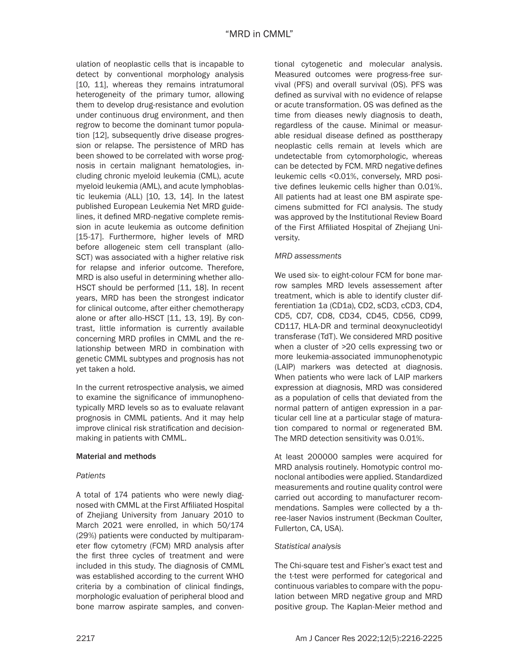ulation of neoplastic cells that is incapable to detect by conventional morphology analysis [10, 11], whereas they remains intratumoral heterogeneity of the primary tumor, allowing them to develop drug-resistance and evolution under continuous drug environment, and then regrow to become the dominant tumor population [12], subsequently drive disease progression or relapse. The persistence of MRD has been showed to be correlated with worse prognosis in certain malignant hematologies, including chronic myeloid leukemia (CML), acute myeloid leukemia (AML), and acute lymphoblastic leukemia (ALL) [10, 13, 14]. In the latest published European Leukemia Net MRD guidelines, it defined MRD-negative complete remission in acute leukemia as outcome definition [15-17]. Furthermore, higher levels of MRD before allogeneic stem cell transplant (allo-SCT) was associated with a higher relative risk for relapse and inferior outcome. Therefore, MRD is also useful in determining whether allo-HSCT should be performed [11, 18]. In recent years, MRD has been the strongest indicator for clinical outcome, after either chemotherapy alone or after allo-HSCT [11, 13, 19]. By contrast, little information is currently available concerning MRD profiles in CMML and the relationship between MRD in combination with genetic CMML subtypes and prognosis has not yet taken a hold.

In the current retrospective analysis, we aimed to examine the significance of immunophenotypically MRD levels so as to evaluate relavant prognosis in CMML patients. And it may help improve clinical risk stratification and decisionmaking in patients with CMML.

# Material and methods

#### *Patients*

A total of 174 patients who were newly diagnosed with CMML at the First Affiliated Hospital of Zhejiang University from January 2010 to March 2021 were enrolled, in which 50/174 (29%) patients were conducted by multiparameter flow cytometry (FCM) MRD analysis after the first three cycles of treatment and were included in this study. The diagnosis of CMML was established according to the current WHO criteria by a combination of clinical findings, morphologic evaluation of peripheral blood and bone marrow aspirate samples, and conventional cytogenetic and molecular analysis. Measured outcomes were progress-free survival (PFS) and overall survival (OS). PFS was defined as survival with no evidence of relapse or acute transformation. OS was defined as the time from dieases newly diagnosis to death, regardless of the cause. Minimal or measurable residual disease defined as posttherapy neoplastic cells remain at levels which are undetectable from cytomorphologic, whereas can be detected by FCM. MRD negative defines leukemic cells <0.01%, conversely, MRD positive defines leukemic cells higher than 0.01%. All patients had at least one BM aspirate specimens submitted for FCI analysis. The study was approved by the Institutional Review Board of the First Affiliated Hospital of Zhejiang University.

#### *MRD assessments*

We used six- to eight-colour FCM for bone marrow samples MRD levels assessement after treatment, which is able to identify cluster differentiation 1a (CD1a), CD2, sCD3, cCD3, CD4, CD5, CD7, CD8, CD34, CD45, CD56, CD99, CD117, HLA-DR and terminal deoxynucleotidyl transferase (TdT). We considered MRD positive when a cluster of >20 cells expressing two or more leukemia-associated immunophenotypic (LAIP) markers was detected at diagnosis. When patients who were lack of LAIP markers expression at diagnosis, MRD was considered as a population of cells that deviated from the normal pattern of antigen expression in a particular cell line at a particular stage of maturation compared to normal or regenerated BM. The MRD detection sensitivity was 0.01%.

At least 200000 samples were acquired for MRD analysis routinely. Homotypic control monoclonal antibodies were applied. Standardized measurements and routine quality control were carried out according to manufacturer recommendations. Samples were collected by a three-laser Navios instrument (Beckman Coulter, Fullerton, CA, USA).

#### *Statistical analysis*

The Chi-square test and Fisher's exact test and the t-test were performed for categorical and continuous variables to compare with the population between MRD negative group and MRD positive group. The Kaplan-Meier method and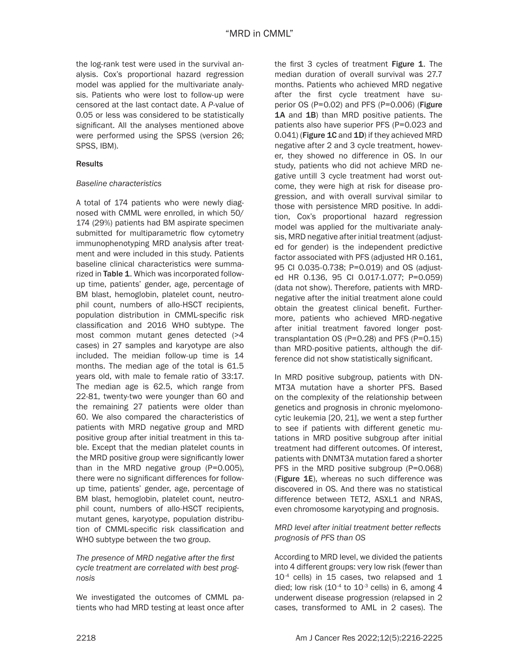the log-rank test were used in the survival analysis. Cox's proportional hazard regression model was applied for the multivariate analysis. Patients who were lost to follow-up were censored at the last contact date. A *P*-value of 0.05 or less was considered to be statistically significant. All the analyses mentioned above were performed using the SPSS (version 26; SPSS, IBM).

### **Results**

# *Baseline characteristics*

A total of 174 patients who were newly diagnosed with CMML were enrolled, in which 50/ 174 (29%) patients had BM aspirate specimen submitted for multiparametric flow cytometry immunophenotyping MRD analysis after treatment and were included in this study. Patients baseline clinical characteristics were summarized in Table 1. Which was incorporated followup time, patients' gender, age, percentage of BM blast, hemoglobin, platelet count, neutrophil count, numbers of allo-HSCT recipients, population distribution in CMML-specific risk classification and 2016 WHO subtype. The most common mutant genes detected (>4 cases) in 27 samples and karyotype are also included. The meidian follow-up time is 14 months. The median age of the total is 61.5 years old, with male to female ratio of 33:17. The median age is 62.5, which range from 22-81, twenty-two were younger than 60 and the remaining 27 patients were older than 60. We also compared the characteristics of patients with MRD negative group and MRD positive group after initial treatment in this table. Except that the median platelet counts in the MRD positive group were significantly lower than in the MRD negative group (P=0.005), there were no significant differences for followup time, patients' gender, age, percentage of BM blast, hemoglobin, platelet count, neutrophil count, numbers of allo-HSCT recipients, mutant genes, karyotype, population distribution of CMML-specific risk classification and WHO subtype between the two group.

*The presence of MRD negative after the first cycle treatment are correlated with best prognosis*

We investigated the outcomes of CMML patients who had MRD testing at least once after the first 3 cycles of treatment Figure 1. The median duration of overall survival was 27.7 months. Patients who achieved MRD negative after the first cycle treatment have superior OS (P=0.02) and PFS (P=0.006) (Figure 1A and 1B) than MRD positive patients. The patients also have superior PFS (P=0.023 and 0.041) (Figure 1C and 1D) if they achieved MRD negative after 2 and 3 cycle treatment, however, they showed no difference in OS. In our study, patients who did not achieve MRD negative untill 3 cycle treatment had worst outcome, they were high at risk for disease progression, and with overall survival similar to those with persistence MRD positive. In addition, Cox's proportional hazard regression model was applied for the multivariate analysis, MRD negative after initial treatment (adjusted for gender) is the independent predictive factor associated with PFS (adjusted HR 0.161, 95 CI 0.035-0.738; P=0.019) and OS (adjusted HR 0.136, 95 CI 0.017-1.077; P=0.059) (data not show). Therefore, patients with MRDnegative after the initial treatment alone could obtain the greatest clinical benefit. Furthermore, patients who achieved MRD-negative after initial treatment favored longer posttransplantation OS (P=0.28) and PFS (P=0.15) than MRD-positive patients, although the difference did not show statistically significant.

In MRD positive subgroup, patients with DN-MT3A mutation have a shorter PFS. Based on the complexity of the relationship between genetics and prognosis in chronic myelomonocytic leukemia [20, 21], we went a step further to see if patients with different genetic mutations in MRD positive subgroup after initial treatment had different outcomes. Of interest, patients with DNMT3A mutation fared a shorter PFS in the MRD positive subgroup (P=0.068) (Figure 1E), whereas no such difference was discovered in OS. And there was no statistical difference between TET2, ASXL1 and NRAS, even chromosome karyotyping and prognosis.

# *MRD level after initial treatment better reflects prognosis of PFS than OS*

According to MRD level, we divided the patients into 4 different groups: very low risk (fewer than 10<sup>-4</sup> cells) in 15 cases, two relapsed and 1 died; low risk  $(10^{-4}$  to  $10^{-3}$  cells) in 6, among 4 underwent disease progression (relapsed in 2 cases, transformed to AML in 2 cases). The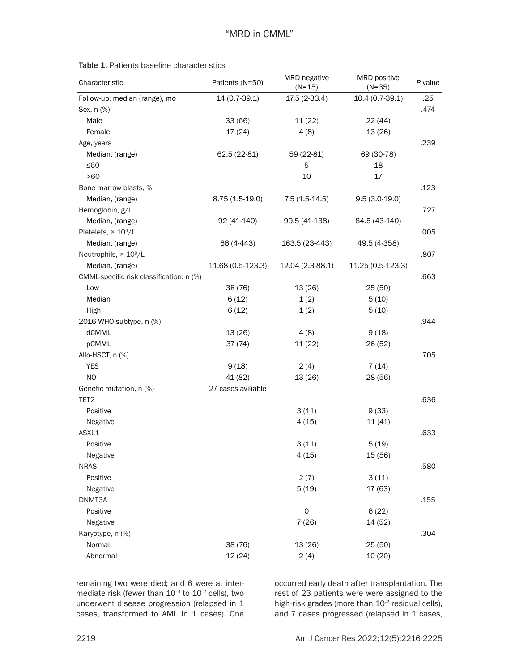| Characteristic                           | Patients (N=50)    | MRD negative<br>$(N=15)$ | MRD positive<br>$(N=35)$ | P value |
|------------------------------------------|--------------------|--------------------------|--------------------------|---------|
| Follow-up, median (range), mo            | 14 (0.7-39.1)      | 17.5 (2-33.4)            | 10.4 (0.7-39.1)          | .25     |
| Sex, n (%)                               |                    |                          |                          | .474    |
| Male                                     | 33(66)             | 11(22)                   | 22(44)                   |         |
| Female                                   | 17(24)             | 4(8)                     | 13(26)                   |         |
| Age, years                               |                    |                          |                          | .239    |
| Median, (range)                          | 62.5 (22-81)       | 59 (22-81)               | 69 (30-78)               |         |
| $≤60$                                    |                    | 5                        | 18                       |         |
| $>60$                                    |                    | 10                       | 17                       |         |
| Bone marrow blasts, %                    |                    |                          |                          | .123    |
| Median, (range)                          | $8.75(1.5-19.0)$   | $7.5(1.5-14.5)$          | $9.5(3.0-19.0)$          |         |
| Hemoglobin, g/L                          |                    |                          |                          | .727    |
| Median, (range)                          | 92 (41-140)        | 99.5 (41-138)            | 84.5 (43-140)            |         |
| Platelets, $\times$ 10 $^9$ /L           |                    |                          |                          | .005    |
| Median, (range)                          | 66 (4-443)         | 163.5 (23-443)           | 49.5 (4-358)             |         |
| Neutrophils, × 10 <sup>9</sup> /L        |                    |                          |                          | .807    |
| Median, (range)                          | 11.68 (0.5-123.3)  | 12.04 (2.3-88.1)         | 11.25 (0.5-123.3)        |         |
| CMML-specific risk classification: n (%) |                    |                          |                          | .663    |
| Low                                      | 38 (76)            | 13 (26)                  | 25(50)                   |         |
| Median                                   | 6(12)              | 1(2)                     | 5(10)                    |         |
| High                                     | 6(12)              | 1(2)                     | 5(10)                    |         |
| 2016 WHO subtype, n (%)                  |                    |                          |                          | .944    |
| dCMML                                    | 13(26)             | 4(8)                     | 9(18)                    |         |
| pCMML                                    | 37(74)             | 11(22)                   | 26 (52)                  |         |
| Allo-HSCT, n (%)                         |                    |                          |                          | .705    |
| <b>YES</b>                               | 9(18)              | 2(4)                     | 7(14)                    |         |
| NO                                       | 41 (82)            | 13 (26)                  | 28 (56)                  |         |
| Genetic mutation, n (%)                  | 27 cases aviliable |                          |                          |         |
| TET <sub>2</sub>                         |                    |                          |                          | .636    |
| Positive                                 |                    | 3(11)                    | 9(33)                    |         |
| Negative                                 |                    | 4(15)                    | 11(41)                   |         |
| ASXL1                                    |                    |                          |                          | .633    |
| Positive                                 |                    | 3(11)                    | 5(19)                    |         |
| Negative                                 |                    | 4(15)                    | 15 (56)                  |         |
| <b>NRAS</b>                              |                    |                          |                          | .580    |
| Positive                                 |                    | 2(7)                     | 3(11)                    |         |
| Negative                                 |                    | 5(19)                    | 17 (63)                  |         |
| DNMT3A                                   |                    |                          |                          | .155    |
| Positive                                 |                    | $\mathsf{O}\xspace$      | 6(22)                    |         |
| Negative                                 |                    | 7(26)                    | 14 (52)                  |         |
| Karyotype, n (%)                         |                    |                          |                          | .304    |
| Normal                                   | 38 (76)            | 13 (26)                  | 25(50)                   |         |
| Abnormal                                 | 12(24)             | 2(4)                     | 10 (20)                  |         |

remaining two were died; and 6 were at intermediate risk (fewer than  $10^{-3}$  to  $10^{-2}$  cells), two underwent disease progression (relapsed in 1 cases, transformed to AML in 1 cases). One occurred early death after transplantation. The rest of 23 patients were were assigned to the high-risk grades (more than  $10^{-2}$  residual cells), and 7 cases progressed (relapsed in 1 cases,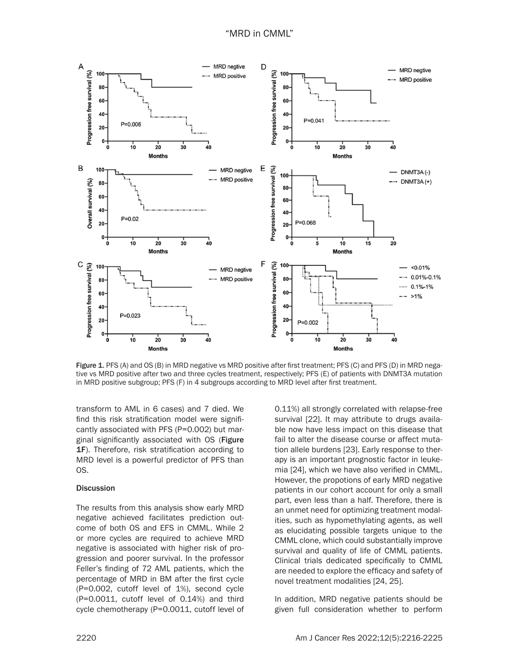

Figure 1. PFS (A) and OS (B) in MRD negative vs MRD positive after first treatment; PFS (C) and PFS (D) in MRD negative vs MRD positive after two and three cycles treatment, respectively; PFS (E) of patients with DNMT3A mutation in MRD positive subgroup; PFS (F) in 4 subgroups according to MRD level after first treatment.

transform to AML in 6 cases) and 7 died. We find this risk stratification model were significantly associated with PFS (P=0.002) but marginal significantly associated with OS (Figure 1F). Therefore, risk stratification according to MRD level is a powerful predictor of PFS than OS.

#### **Discussion**

The results from this analysis show early MRD negative achieved facilitates prediction outcome of both OS and EFS in CMML. While 2 or more cycles are required to achieve MRD negative is associated with higher risk of progression and poorer survival. In the professor Feller's finding of 72 AML patients, which the percentage of MRD in BM after the first cycle (P=0.002, cutoff level of 1%), second cycle (P=0.0011, cutoff level of 0.14%) and third cycle chemotherapy (P=0.0011, cutoff level of 0.11%) all strongly correlated with relapse-free survival [22]. It may attribute to drugs available now have less impact on this disease that fail to alter the disease course or affect mutation allele burdens [23]. Early response to therapy is an important prognostic factor in leukemia [24], which we have also verified in CMML. However, the propotions of early MRD negative patients in our cohort account for only a small part, even less than a half. Therefore, there is an unmet need for optimizing treatment modalities, such as hypomethylating agents, as well as elucidating possible targets unique to the CMML clone, which could substantially improve survival and quality of life of CMML patients. Clinical trials dedicated specifically to CMML are needed to explore the efficacy and safety of novel treatment modalities [24, 25].

In addition, MRD negative patients should be given full consideration whether to perform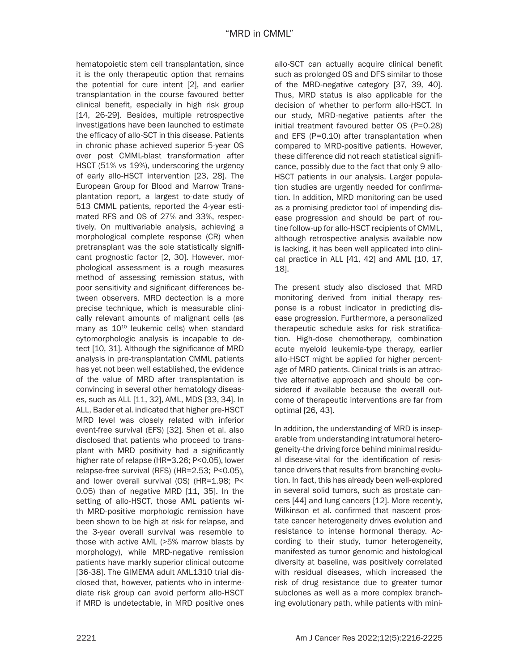hematopoietic stem cell transplantation, since it is the only therapeutic option that remains the potential for cure intent [2], and earlier transplantation in the course favoured better clinical benefit, especially in high risk group [14, 26-29]. Besides, multiple retrospective investigations have been launched to estimate the efficacy of allo-SCT in this disease. Patients in chronic phase achieved superior 5-year OS over post CMML-blast transformation after HSCT (51% vs 19%), underscoring the urgency of early allo-HSCT intervention [23, 28]. The European Group for Blood and Marrow Transplantation report, a largest to-date study of 513 CMML patients, reported the 4-year estimated RFS and OS of 27% and 33%, respectively. On multivariable analysis, achieving a morphological complete response (CR) when pretransplant was the sole statistically significant prognostic factor [2, 30]. However, morphological assessment is a rough measures method of assessing remission status, with poor sensitivity and significant differences between observers. MRD dectection is a more precise technique, which is measurable clinically relevant amounts of malignant cells (as many as 10<sup>10</sup> leukemic cells) when standard cytomorphologic analysis is incapable to detect [10, 31]. Although the significance of MRD analysis in pre-transplantation CMML patients has yet not been well established, the evidence of the value of MRD after transplantation is convincing in several other hematology diseases, such as ALL [11, 32], AML, MDS [33, 34]. In ALL, Bader et al. indicated that higher pre-HSCT MRD level was closely related with inferior event-free survival (EFS) [32]. Shen et al. also disclosed that patients who proceed to transplant with MRD positivity had a significantly higher rate of relapse (HR=3.26; P<0.05), lower relapse-free survival (RFS) (HR=2.53; P<0.05), and lower overall survival (OS) (HR=1.98; P< 0.05) than of negative MRD [11, 35]. In the setting of allo-HSCT, those AML patients with MRD-positive morphologic remission have been shown to be high at risk for relapse, and the 3-year overall survival was resemble to those with active AML (>5% marrow blasts by morphology), while MRD-negative remission patients have markly superior clinical outcome [36-38]. The GIMEMA adult AML1310 trial disclosed that, however, patients who in intermediate risk group can avoid perform allo-HSCT if MRD is undetectable, in MRD positive ones allo-SCT can actually acquire clinical benefit such as prolonged OS and DFS similar to those of the MRD-negative category [37, 39, 40]. Thus, MRD status is also applicable for the decision of whether to perform allo-HSCT. In our study, MRD-negative patients after the initial treatment favoured better OS (P=0.28) and EFS (P=0.10) after transplantation when compared to MRD-positive patients. However, these difference did not reach statistical significance, possibly due to the fact that only 9 allo-HSCT patients in our analysis. Larger population studies are urgently needed for confirmation. In addition, MRD monitoring can be used as a promising predictor tool of impending disease progression and should be part of routine follow-up for allo-HSCT recipients of CMML, although retrospective analysis available now is lacking, it has been well applicated into clinical practice in ALL [41, 42] and AML [10, 17, 18].

The present study also disclosed that MRD monitoring derived from initial therapy response is a robust indicator in predicting disease progression. Furthermore, a personalized therapeutic schedule asks for risk stratification. High-dose chemotherapy, combination acute myeloid leukemia-type therapy, earlier allo-HSCT might be applied for higher percentage of MRD patients. Clinical trials is an attractive alternative approach and should be considered if available because the overall outcome of therapeutic interventions are far from optimal [26, 43].

In addition, the understanding of MRD is inseparable from understanding intratumoral heterogeneity-the driving force behind minimal residual disease-vital for the identification of resistance drivers that results from branching evolution. In fact, this has already been well-explored in several solid tumors, such as prostate cancers [44] and lung cancers [12]. More recently, Wilkinson et al. confirmed that nascent prostate cancer heterogeneity drives evolution and resistance to intense hormonal therapy. According to their study, tumor heterogeneity, manifested as tumor genomic and histological diversity at baseline, was positively correlated with residual diseases, which increased the risk of drug resistance due to greater tumor subclones as well as a more complex branching evolutionary path, while patients with mini-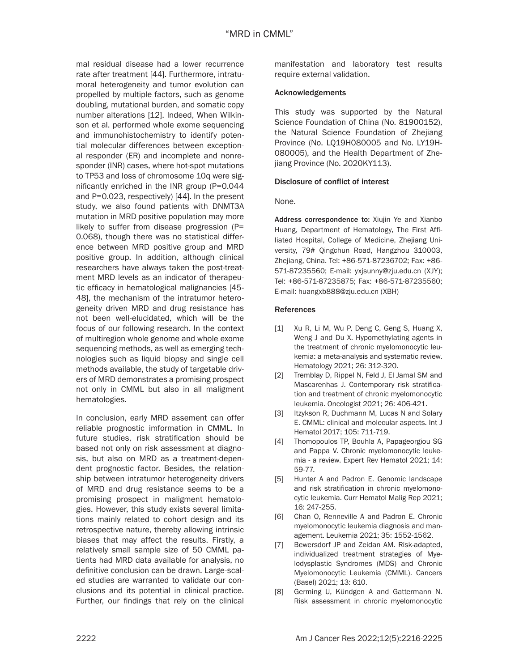mal residual disease had a lower recurrence rate after treatment [44]. Furthermore, intratumoral heterogeneity and tumor evolution can propelled by multiple factors, such as genome doubling, mutational burden, and somatic copy number alterations [12]. Indeed, When Wilkinson et al. performed whole exome sequencing and immunohistochemistry to identify potential molecular differences between exceptional responder (ER) and incomplete and nonresponder (INR) cases, where hot-spot mutations to TP53 and loss of chromosome 10q were significantly enriched in the INR group (P=0.044 and P=0.023, respectively) [44]. In the present study, we also found patients with DNMT3A mutation in MRD positive population may more likely to suffer from disease progression (P= 0.068), though there was no statistical difference between MRD positive group and MRD positive group. In addition, although clinical researchers have always taken the post-treatment MRD levels as an indicator of therapeutic efficacy in hematological malignancies [45- 48], the mechanism of the intratumor heterogeneity driven MRD and drug resistance has not been well-elucidated, which will be the focus of our following research. In the context of multiregion whole genome and whole exome sequencing methods, as well as emerging technologies such as liquid biopsy and single cell methods available, the study of targetable drivers of MRD demonstrates a promising prospect not only in CMML but also in all maligment hematologies.

In conclusion, early MRD assement can offer reliable prognostic imformation in CMML. In future studies, risk stratification should be based not only on risk assessment at diagnosis, but also on MRD as a treatment-dependent prognostic factor. Besides, the relationship between intratumor heterogeneity drivers of MRD and drug resistance seems to be a promising prospect in maligment hematologies. However, this study exists several limitations mainly related to cohort design and its retrospective nature, thereby allowing intrinsic biases that may affect the results. Firstly, a relatively small sample size of 50 CMML patients had MRD data available for analysis, no definitive conclusion can be drawn. Large-scaled studies are warranted to validate our conclusions and its potential in clinical practice. Further, our findings that rely on the clinical manifestation and laboratory test results require external validation.

# Acknowledgements

This study was supported by the Natural Science Foundation of China (No. 81900152), the Natural Science Foundation of Zhejiang Province (No. LQ19H080005 and No. LY19H-080005), and the Health Department of Zhejiang Province (No. 2020KY113).

#### Disclosure of conflict of interest

None.

Address correspondence to: Xiujin Ye and Xianbo Huang, Department of Hematology, The First Affiliated Hospital, College of Medicine, Zhejiang University, 79# Qingchun Road, Hangzhou 310003, Zhejiang, China. Tel: +86-571-87236702; Fax: +86- 571-87235560; E-mail: yxjsunny@zju.edu.cn (XJY); Tel: +86-571-87235875; Fax: +86-571-87235560; E-mail: huangxb888@zju.edu.cn (XBH)

#### **References**

- [1] Xu R, Li M, Wu P, Deng C, Geng S, Huang X, Weng J and Du X. Hypomethylating agents in the treatment of chronic myelomonocytic leukemia: a meta-analysis and systematic review. Hematology 2021; 26: 312-320.
- [2] Tremblay D, Rippel N, Feld J, El Jamal SM and Mascarenhas J. Contemporary risk stratification and treatment of chronic myelomonocytic leukemia. Oncologist 2021; 26: 406-421.
- [3] Itzykson R, Duchmann M, Lucas N and Solary E. CMML: clinical and molecular aspects. Int J Hematol 2017; 105: 711-719.
- [4] Thomopoulos TP, Bouhla A, Papageorgiou SG and Pappa V. Chronic myelomonocytic leukemia - a review. Expert Rev Hematol 2021; 14: 59-77.
- [5] Hunter A and Padron E. Genomic landscape and risk stratification in chronic myelomonocytic leukemia. Curr Hematol Malig Rep 2021; 16: 247-255.
- [6] Chan O, Renneville A and Padron E. Chronic myelomonocytic leukemia diagnosis and management. Leukemia 2021; 35: 1552-1562.
- [7] Bewersdorf JP and Zeidan AM. Risk-adapted, individualized treatment strategies of Myelodysplastic Syndromes (MDS) and Chronic Myelomonocytic Leukemia (CMML). Cancers (Basel) 2021; 13: 610.
- [8] Germing U, Kündgen A and Gattermann N. Risk assessment in chronic myelomonocytic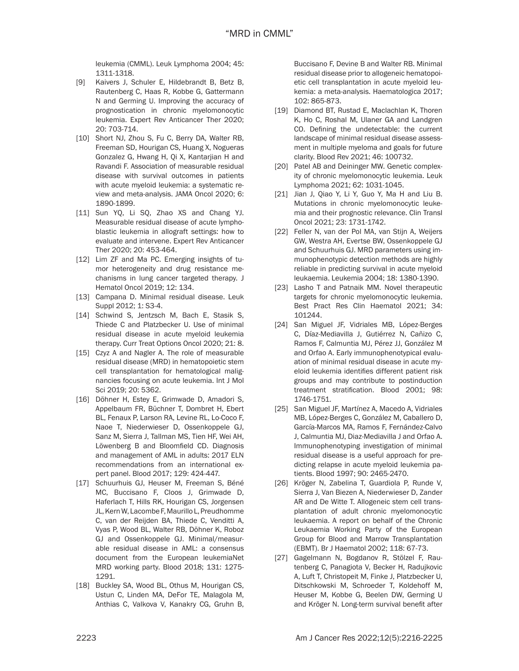leukemia (CMML). Leuk Lymphoma 2004; 45: 1311-1318.

- [9] Kaivers J, Schuler E, Hildebrandt B, Betz B, Rautenberg C, Haas R, Kobbe G, Gattermann N and Germing U. Improving the accuracy of prognostication in chronic myelomonocytic leukemia. Expert Rev Anticancer Ther 2020; 20: 703-714.
- [10] Short NJ, Zhou S, Fu C, Berry DA, Walter RB, Freeman SD, Hourigan CS, Huang X, Nogueras Gonzalez G, Hwang H, Qi X, Kantarjian H and Ravandi F. Association of measurable residual disease with survival outcomes in patients with acute myeloid leukemia: a systematic review and meta-analysis. JAMA Oncol 2020; 6: 1890-1899.
- [11] Sun YQ, Li SQ, Zhao XS and Chang YJ. Measurable residual disease of acute lymphoblastic leukemia in allograft settings: how to evaluate and intervene. Expert Rev Anticancer Ther 2020; 20: 453-464.
- [12] Lim ZF and Ma PC. Emerging insights of tumor heterogeneity and drug resistance mechanisms in lung cancer targeted therapy. J Hematol Oncol 2019; 12: 134.
- [13] Campana D. Minimal residual disease. Leuk Suppl 2012; 1: S3-4.
- [14] Schwind S, Jentzsch M, Bach E, Stasik S, Thiede C and Platzbecker U. Use of minimal residual disease in acute myeloid leukemia therapy. Curr Treat Options Oncol 2020; 21: 8.
- [15] Czyz A and Nagler A. The role of measurable residual disease (MRD) in hematopoietic stem cell transplantation for hematological malignancies focusing on acute leukemia. Int J Mol Sci 2019; 20: 5362.
- [16] Döhner H, Estey E, Grimwade D, Amadori S, Appelbaum FR, Büchner T, Dombret H, Ebert BL, Fenaux P, Larson RA, Levine RL, Lo-Coco F, Naoe T, Niederwieser D, Ossenkoppele GJ, Sanz M, Sierra J, Tallman MS, Tien HF, Wei AH, Löwenberg B and Bloomfield CD. Diagnosis and management of AML in adults: 2017 ELN recommendations from an international expert panel. Blood 2017; 129: 424-447.
- [17] Schuurhuis GJ, Heuser M, Freeman S, Béné MC, Buccisano F, Cloos J, Grimwade D, Haferlach T, Hills RK, Hourigan CS, Jorgensen JL, Kern W, Lacombe F, Maurillo L, Preudhomme C, van der Reijden BA, Thiede C, Venditti A, Vyas P, Wood BL, Walter RB, Döhner K, Roboz GJ and Ossenkoppele GJ. Minimal/measurable residual disease in AML: a consensus document from the European leukemiaNet MRD working party. Blood 2018; 131: 1275- 1291.
- [18] Buckley SA, Wood BL, Othus M, Hourigan CS, Ustun C, Linden MA, DeFor TE, Malagola M, Anthias C, Valkova V, Kanakry CG, Gruhn B,

Buccisano F, Devine B and Walter RB. Minimal residual disease prior to allogeneic hematopoietic cell transplantation in acute myeloid leukemia: a meta-analysis. Haematologica 2017; 102: 865-873.

- [19] Diamond BT, Rustad E, Maclachlan K, Thoren K, Ho C, Roshal M, Ulaner GA and Landgren CO. Defining the undetectable: the current landscape of minimal residual disease assessment in multiple myeloma and goals for future clarity. Blood Rev 2021; 46: 100732.
- [20] Patel AB and Deininger MW. Genetic complexity of chronic myelomonocytic leukemia. Leuk Lymphoma 2021; 62: 1031-1045.
- [21] Jian J, Qiao Y, Li Y, Guo Y, Ma H and Liu B. Mutations in chronic myelomonocytic leukemia and their prognostic relevance. Clin Transl Oncol 2021; 23: 1731-1742.
- [22] Feller N, van der Pol MA, van Stijn A, Weijers GW, Westra AH, Evertse BW, Ossenkoppele GJ and Schuurhuis GJ. MRD parameters using immunophenotypic detection methods are highly reliable in predicting survival in acute myeloid leukaemia. Leukemia 2004; 18: 1380-1390.
- [23] Lasho T and Patnaik MM. Novel therapeutic targets for chronic myelomonocytic leukemia. Best Pract Res Clin Haematol 2021; 34: 101244.
- [24] San Miguel JF, Vidriales MB, López-Berges C, Díaz-Mediavilla J, Gutiérrez N, Cañizo C, Ramos F, Calmuntia MJ, Pérez JJ, González M and Orfao A. Early immunophenotypical evaluation of minimal residual disease in acute myeloid leukemia identifies different patient risk groups and may contribute to postinduction treatment stratification. Blood 2001; 98: 1746-1751.
- [25] San Miguel JF, Martínez A, Macedo A, Vidriales MB, López-Berges C, González M, Caballero D, García-Marcos MA, Ramos F, Fernández-Calvo J, Calmuntia MJ, Diaz-Mediavilla J and Orfao A. Immunophenotyping investigation of minimal residual disease is a useful approach for predicting relapse in acute myeloid leukemia patients. Blood 1997; 90: 2465-2470.
- [26] Kröger N, Zabelina T, Guardiola P, Runde V, Sierra J, Van Biezen A, Niederwieser D, Zander AR and De Witte T. Allogeneic stem cell transplantation of adult chronic myelomonocytic leukaemia. A report on behalf of the Chronic Leukaemia Working Party of the European Group for Blood and Marrow Transplantation (EBMT). Br J Haematol 2002; 118: 67-73.
- [27] Gagelmann N, Bogdanov R, Stölzel F, Rautenberg C, Panagiota V, Becker H, Radujkovic A, Luft T, Christopeit M, Finke J, Platzbecker U, Ditschkowski M, Schroeder T, Koldehoff M, Heuser M, Kobbe G, Beelen DW, Germing U and Kröger N. Long-term survival benefit after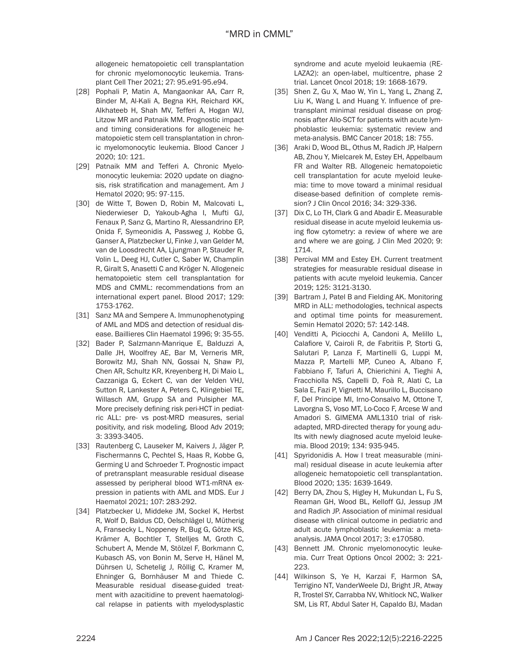allogeneic hematopoietic cell transplantation for chronic myelomonocytic leukemia. Transplant Cell Ther 2021; 27: 95.e91-95.e94.

- [28] Pophali P, Matin A, Mangaonkar AA, Carr R, Binder M, Al-Kali A, Begna KH, Reichard KK, Alkhateeb H, Shah MV, Tefferi A, Hogan WJ, Litzow MR and Patnaik MM. Prognostic impact and timing considerations for allogeneic hematopoietic stem cell transplantation in chronic myelomonocytic leukemia. Blood Cancer J 2020; 10: 121.
- [29] Patnaik MM and Tefferi A. Chronic Myelomonocytic leukemia: 2020 update on diagnosis, risk stratification and management. Am J Hematol 2020; 95: 97-115.
- [30] de Witte T, Bowen D, Robin M, Malcovati L, Niederwieser D, Yakoub-Agha I, Mufti GJ, Fenaux P, Sanz G, Martino R, Alessandrino EP, Onida F, Symeonidis A, Passweg J, Kobbe G, Ganser A, Platzbecker U, Finke J, van Gelder M, van de Loosdrecht AA, Ljungman P, Stauder R, Volin L, Deeg HJ, Cutler C, Saber W, Champlin R, Giralt S, Anasetti C and Kröger N. Allogeneic hematopoietic stem cell transplantation for MDS and CMML: recommendations from an international expert panel. Blood 2017; 129: 1753-1762.
- [31] Sanz MA and Sempere A. Immunophenotyping of AML and MDS and detection of residual disease. Baillieres Clin Haematol 1996; 9: 35-55.
- [32] Bader P, Salzmann-Manrique E, Balduzzi A, Dalle JH, Woolfrey AE, Bar M, Verneris MR, Borowitz MJ, Shah NN, Gossai N, Shaw PJ, Chen AR, Schultz KR, Kreyenberg H, Di Maio L, Cazzaniga G, Eckert C, van der Velden VHJ, Sutton R, Lankester A, Peters C, Klingebiel TE, Willasch AM, Grupp SA and Pulsipher MA. More precisely defining risk peri-HCT in pediatric ALL: pre- vs post-MRD measures, serial positivity, and risk modeling. Blood Adv 2019; 3: 3393-3405.
- [33] Rautenberg C, Lauseker M, Kaivers J, Jäger P, Fischermanns C, Pechtel S, Haas R, Kobbe G, Germing U and Schroeder T. Prognostic impact of pretransplant measurable residual disease assessed by peripheral blood WT1-mRNA expression in patients with AML and MDS. Eur J Haematol 2021; 107: 283-292.
- [34] Platzbecker U, Middeke JM, Sockel K, Herbst R, Wolf D, Baldus CD, Oelschlägel U, Mütherig A, Fransecky L, Noppeney R, Bug G, Götze KS, Krämer A, Bochtler T, Stelljes M, Groth C, Schubert A, Mende M, Stölzel F, Borkmann C, Kubasch AS, von Bonin M, Serve H, Hänel M, Dührsen U, Schetelig J, Röllig C, Kramer M, Ehninger G, Bornhäuser M and Thiede C. Measurable residual disease-guided treatment with azacitidine to prevent haematological relapse in patients with myelodysplastic

syndrome and acute myeloid leukaemia (RE-LAZA2): an open-label, multicentre, phase 2 trial. Lancet Oncol 2018; 19: 1668-1679.

- [35] Shen Z, Gu X, Mao W, Yin L, Yang L, Zhang Z, Liu K, Wang L and Huang Y. Influence of pretransplant minimal residual disease on prognosis after Allo-SCT for patients with acute lymphoblastic leukemia: systematic review and meta-analysis. BMC Cancer 2018; 18: 755.
- [36] Araki D, Wood BL, Othus M, Radich JP, Halpern AB, Zhou Y, Mielcarek M, Estey EH, Appelbaum FR and Walter RB. Allogeneic hematopoietic cell transplantation for acute myeloid leukemia: time to move toward a minimal residual disease-based definition of complete remission? J Clin Oncol 2016; 34: 329-336.
- [37] Dix C, Lo TH, Clark G and Abadir E. Measurable residual disease in acute myeloid leukemia using flow cytometry: a review of where we are and where we are going. J Clin Med 2020; 9: 1714.
- [38] Percival MM and Estey EH. Current treatment strategies for measurable residual disease in patients with acute myeloid leukemia. Cancer 2019; 125: 3121-3130.
- [39] Bartram J, Patel B and Fielding AK. Monitoring MRD in ALL: methodologies, technical aspects and optimal time points for measurement. Semin Hematol 2020; 57: 142-148.
- [40] Venditti A, Piciocchi A, Candoni A, Melillo L, Calafiore V, Cairoli R, de Fabritiis P, Storti G, Salutari P, Lanza F, Martinelli G, Luppi M, Mazza P, Martelli MP, Cuneo A, Albano F, Fabbiano F, Tafuri A, Chierichini A, Tieghi A, Fracchiolla NS, Capelli D, Foà R, Alati C, La Sala E, Fazi P, Vignetti M, Maurillo L, Buccisano F, Del Principe MI, Irno-Consalvo M, Ottone T, Lavorgna S, Voso MT, Lo-Coco F, Arcese W and Amadori S. GIMEMA AML1310 trial of riskadapted, MRD-directed therapy for young adults with newly diagnosed acute myeloid leukemia. Blood 2019; 134: 935-945.
- [41] Spyridonidis A. How I treat measurable (minimal) residual disease in acute leukemia after allogeneic hematopoietic cell transplantation. Blood 2020; 135: 1639-1649.
- [42] Berry DA, Zhou S, Higley H, Mukundan L, Fu S, Reaman GH, Wood BL, Kelloff GJ, Jessup JM and Radich JP. Association of minimal residual disease with clinical outcome in pediatric and adult acute lymphoblastic leukemia: a metaanalysis. JAMA Oncol 2017; 3: e170580.
- [43] Bennett JM. Chronic myelomonocytic leukemia. Curr Treat Options Oncol 2002; 3: 221- 223.
- [44] Wilkinson S, Ye H, Karzai F, Harmon SA, Terrigino NT, VanderWeele DJ, Bright JR, Atway R, Trostel SY, Carrabba NV, Whitlock NC, Walker SM, Lis RT, Abdul Sater H, Capaldo BJ, Madan